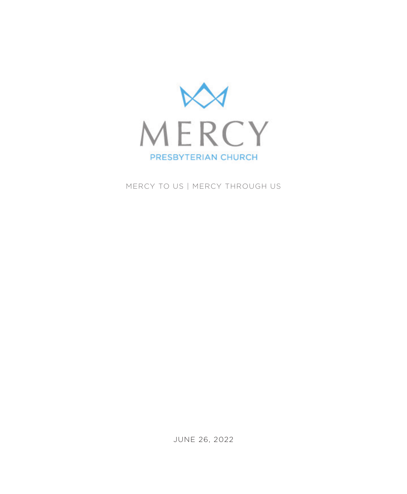

MERCY TO US | MERCY THROUGH US

JUNE 26, 2022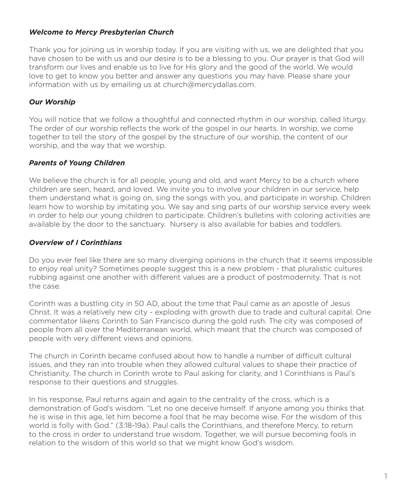### *Welcome to Mercy Presbyterian Church*

Thank you for joining us in worship today. If you are visiting with us, we are delighted that you have chosen to be with us and our desire is to be a blessing to you. Our prayer is that God will transform our lives and enable us to live for His glory and the good of the world. We would love to get to know you better and answer any questions you may have. Please share your information with us by emailing us at church@mercydallas.com.

### *Our Worship*

You will notice that we follow a thoughtful and connected rhythm in our worship, called liturgy. The order of our worship reflects the work of the gospel in our hearts. In worship, we come together to tell the story of the gospel by the structure of our worship, the content of our worship, and the way that we worship.

### *Parents of Young Children*

We believe the church is for all people, young and old, and want Mercy to be a church where children are seen, heard, and loved. We invite you to involve your children in our service, help them understand what is going on, sing the songs with you, and participate in worship. Children learn how to worship by imitating you. We say and sing parts of our worship service every week in order to help our young children to participate. Children's bulletins with coloring activities are available by the door to the sanctuary. Nursery is also available for babies and toddlers.

## *Overview of I Corinthians*

Do you ever feel like there are so many diverging opinions in the church that it seems impossible to enjoy real unity? Sometimes people suggest this is a new problem - that pluralistic cultures rubbing against one another with different values are a product of postmodernity. That is not the case.

Corinth was a bustling city in 50 AD, about the time that Paul came as an apostle of Jesus Christ. It was a relatively new city - exploding with growth due to trade and cultural capital. One commentator likens Corinth to San Francisco during the gold rush. The city was composed of people from all over the Mediterranean world, which meant that the church was composed of people with very different views and opinions.

The church in Corinth became confused about how to handle a number of difficult cultural issues, and they ran into trouble when they allowed cultural values to shape their practice of Christianity. The church in Corinth wrote to Paul asking for clarity, and 1 Corinthians is Paul's response to their questions and struggles.

In his response, Paul returns again and again to the centrality of the cross, which is a demonstration of God's wisdom. "Let no one deceive himself. If anyone among you thinks that he is wise in this age, let him become a fool that he may become wise. For the wisdom of this world is folly with God." (3:18-19a). Paul calls the Corinthians, and therefore Mercy, to return to the cross in order to understand true wisdom. Together, we will pursue becoming fools in relation to the wisdom of this world so that we might know God's wisdom.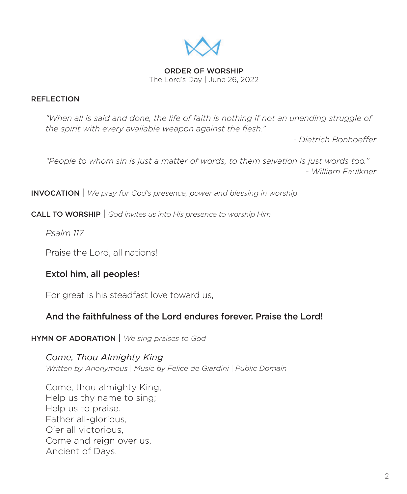

ORDER OF WORSHIP The Lord's Day | June 26, 2022

## REFLECTION

*"When all is said and done, the life of faith is nothing if not an unending struggle of the spirit with every available weapon against the flesh."* 

*- Dietrich Bonhoeffer*

*"People to whom sin is just a matter of words, to them salvation is just words too." - William Faulkner*

INVOCATION | *We pray for God's presence, power and blessing in worship*

CALL TO WORSHIP | *God invites us into His presence to worship Him* 

*Psalm 117*

Praise the Lord, all nations!

# Extol him, all peoples!

For great is his steadfast love toward us,

# And the faithfulness of the Lord endures forever. Praise the Lord!

## HYMN OF ADORATION | *We sing praises to God*

*Come, Thou Almighty King Written by Anonymous* | *Music by Felice de Giardini* | *Public Domain*

Come, thou almighty King, Help us thy name to sing; Help us to praise. Father all-glorious, O'er all victorious, Come and reign over us, Ancient of Days.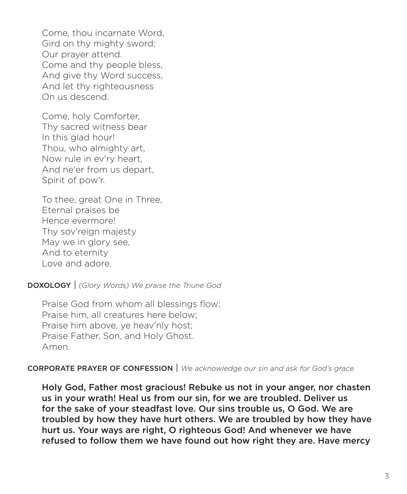Come, thou incarnate Word, Gird on thy mighty sword; Our prayer attend. Come and thy people bless, And give thy Word success, And let thy righteousness On us descend.

Come, holy Comforter, Thy sacred witness bear In this glad hour! Thou, who almighty art, Now rule in ev'ry heart, And ne'er from us depart, Spirit of pow'r.

To thee, great One in Three, Eternal praises be Hence evermore! Thy sov'reign majesty May we in glory see, And to eternity Love and adore.

DOXOLOGY | *(Glory Words) We praise the Triune God*

Praise God from whom all blessings flow; Praise him, all creatures here below; Praise him above, ye heav'nly host; Praise Father, Son, and Holy Ghost. Amen.

CORPORATE PRAYER OF CONFESSION | *We acknowledge our sin and ask for God's grace*

Holy God, Father most gracious! Rebuke us not in your anger, nor chasten us in your wrath! Heal us from our sin, for we are troubled. Deliver us for the sake of your steadfast love. Our sins trouble us, O God. We are troubled by how they have hurt others. We are troubled by how they have hurt us. Your ways are right, O righteous God! And whenever we have refused to follow them we have found out how right they are. Have mercy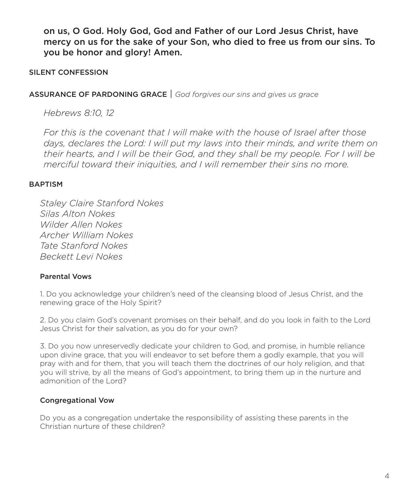on us, O God. Holy God, God and Father of our Lord Jesus Christ, have mercy on us for the sake of your Son, who died to free us from our sins. To you be honor and glory! Amen.

## SILENT CONFESSION

## ASSURANCE OF PARDONING GRACE | *God forgives our sins and gives us grace*

*Hebrews 8:10, 12*

*For this is the covenant that I will make with the house of Israel after those*  days, declares the Lord: I will put my laws into their minds, and write them on *their hearts, and I will be their God, and they shall be my people. For I will be merciful toward their iniquities, and I will remember their sins no more.*

## BAPTISM

*Staley Claire Stanford Nokes Silas Alton Nokes Wilder Allen Nokes Archer William Nokes Tate Stanford Nokes Beckett Levi Nokes*

### Parental Vows

1. Do you acknowledge your children's need of the cleansing blood of Jesus Christ, and the renewing grace of the Holy Spirit?

2. Do you claim God's covenant promises on their behalf, and do you look in faith to the Lord Jesus Christ for their salvation, as you do for your own?

3. Do you now unreservedly dedicate your children to God, and promise, in humble reliance upon divine grace, that you will endeavor to set before them a godly example, that you will pray with and for them, that you will teach them the doctrines of our holy religion, and that you will strive, by all the means of God's appointment, to bring them up in the nurture and admonition of the Lord?

## Congregational Vow

Do you as a congregation undertake the responsibility of assisting these parents in the Christian nurture of these children?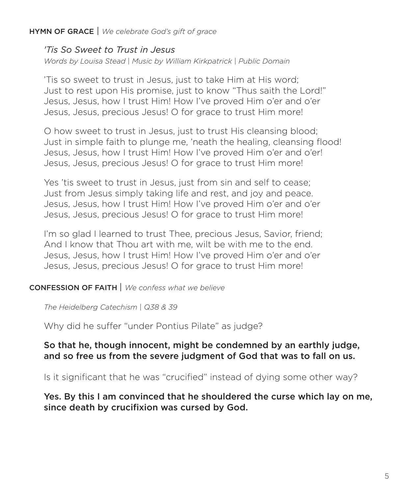# HYMN OF GRACE | *We celebrate God's gift of grace*

*'Tis So Sweet to Trust in Jesus*

*Words by Louisa Stead* | *Music by William Kirkpatrick* | *Public Domain*

'Tis so sweet to trust in Jesus, just to take Him at His word; Just to rest upon His promise, just to know "Thus saith the Lord!" Jesus, Jesus, how I trust Him! How I've proved Him o'er and o'er Jesus, Jesus, precious Jesus! O for grace to trust Him more!

O how sweet to trust in Jesus, just to trust His cleansing blood; Just in simple faith to plunge me, 'neath the healing, cleansing flood! Jesus, Jesus, how I trust Him! How I've proved Him o'er and o'er! Jesus, Jesus, precious Jesus! O for grace to trust Him more!

Yes 'tis sweet to trust in Jesus, just from sin and self to cease; Just from Jesus simply taking life and rest, and joy and peace. Jesus, Jesus, how I trust Him! How I've proved Him o'er and o'er Jesus, Jesus, precious Jesus! O for grace to trust Him more!

I'm so glad I learned to trust Thee, precious Jesus, Savior, friend; And I know that Thou art with me, wilt be with me to the end. Jesus, Jesus, how I trust Him! How I've proved Him o'er and o'er Jesus, Jesus, precious Jesus! O for grace to trust Him more!

## CONFESSION OF FAITH | *We confess what we believe*

*The Heidelberg Catechism* | *Q38 & 39*

Why did he suffer "under Pontius Pilate" as judge?

# So that he, though innocent, might be condemned by an earthly judge, and so free us from the severe judgment of God that was to fall on us.

Is it significant that he was "crucified" instead of dying some other way?

Yes. By this I am convinced that he shouldered the curse which lay on me, since death by crucifixion was cursed by God.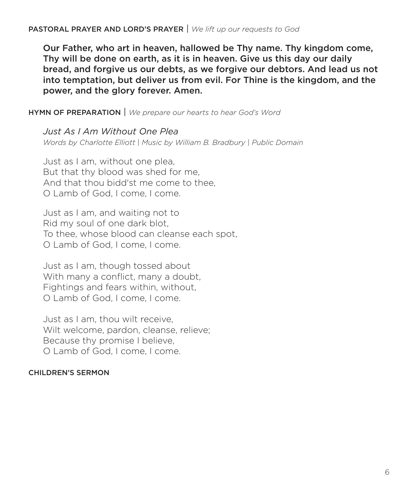PASTORAL PRAYER AND LORD'S PRAYER | *We lift up our requests to God*

Our Father, who art in heaven, hallowed be Thy name. Thy kingdom come, Thy will be done on earth, as it is in heaven. Give us this day our daily bread, and forgive us our debts, as we forgive our debtors. And lead us not into temptation, but deliver us from evil. For Thine is the kingdom, and the power, and the glory forever. Amen.

HYMN OF PREPARATION | *We prepare our hearts to hear God's Word* 

*Just As I Am Without One Plea Words by Charlotte Elliott* | *Music by William B. Bradbury* | *Public Domain*

Just as I am, without one plea, But that thy blood was shed for me, And that thou bidd'st me come to thee, O Lamb of God, I come, I come.

Just as I am, and waiting not to Rid my soul of one dark blot, To thee, whose blood can cleanse each spot, O Lamb of God, I come, I come.

Just as I am, though tossed about With many a conflict, many a doubt, Fightings and fears within, without, O Lamb of God, I come, I come.

Just as I am, thou wilt receive, Wilt welcome, pardon, cleanse, relieve; Because thy promise I believe, O Lamb of God, I come, I come.

## CHILDREN'S SERMON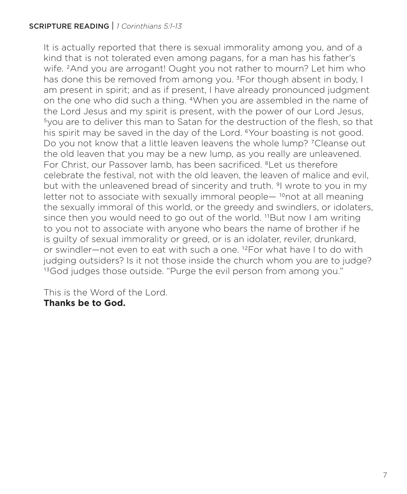# SCRIPTURE READING | *1 Corinthians 5:1-13*

It is actually reported that there is sexual immorality among you, and of a kind that is not tolerated even among pagans, for a man has his father's wife. 2And you are arrogant! Ought you not rather to mourn? Let him who has done this be removed from among you. <sup>3</sup>For though absent in body, I am present in spirit; and as if present, I have already pronounced judgment on the one who did such a thing. 4When you are assembled in the name of the Lord Jesus and my spirit is present, with the power of our Lord Jesus, 5you are to deliver this man to Satan for the destruction of the flesh, so that his spirit may be saved in the day of the Lord. <sup>6</sup>Your boasting is not good. Do you not know that a little leaven leavens the whole lump? 7Cleanse out the old leaven that you may be a new lump, as you really are unleavened. For Christ, our Passover lamb, has been sacrificed. <sup>8</sup>Let us therefore celebrate the festival, not with the old leaven, the leaven of malice and evil, but with the unleavened bread of sincerity and truth. <sup>9</sup>I wrote to you in my letter not to associate with sexually immoral people— $10$ not at all meaning the sexually immoral of this world, or the greedy and swindlers, or idolaters, since then you would need to go out of the world. <sup>11</sup>But now I am writing to you not to associate with anyone who bears the name of brother if he is guilty of sexual immorality or greed, or is an idolater, reviler, drunkard, or swindler—not even to eat with such a one. 12For what have I to do with judging outsiders? Is it not those inside the church whom you are to judge? <sup>13</sup>God judges those outside. "Purge the evil person from among you."

This is the Word of the Lord. **Thanks be to God.**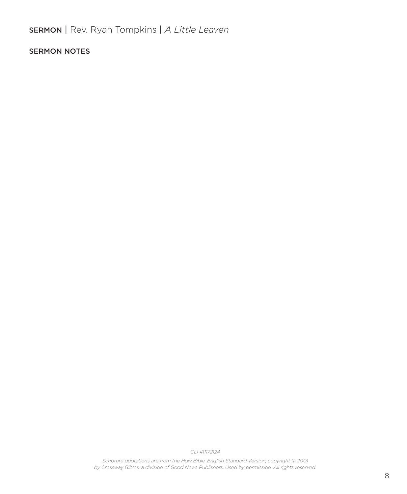SERMON | Rev. Ryan Tompkins | *A Little Leaven*

### SERMON NOTES

*CLI #11172124* 

*Scripture quotations are from the Holy Bible, English Standard Version, copyright © 2001 by Crossway Bibles, a division of Good News Publishers. Used by permission. All rights reserved.*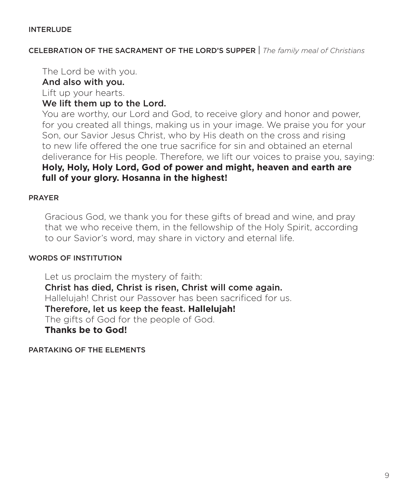#### **INTERLUDE**

CELEBRATION OF THE SACRAMENT OF THE LORD'S SUPPER | *The family meal of Christians*

The Lord be with you.

## And also with you.

Lift up your hearts.

# We lift them up to the Lord.

 You are worthy, our Lord and God, to receive glory and honor and power, for you created all things, making us in your image. We praise you for your Son, our Savior Jesus Christ, who by His death on the cross and rising to new life offered the one true sacrifice for sin and obtained an eternal deliverance for His people. Therefore, we lift our voices to praise you, saying: **Holy, Holy, Holy Lord, God of power and might, heaven and earth are full of your glory. Hosanna in the highest!**

## PRAYER

 Gracious God, we thank you for these gifts of bread and wine, and pray that we who receive them, in the fellowship of the Holy Spirit, according to our Savior's word, may share in victory and eternal life.

## WORDS OF INSTITUTION

 Let us proclaim the mystery of faith: Christ has died, Christ is risen, Christ will come again. Hallelujah! Christ our Passover has been sacrificed for us. Therefore, let us keep the feast. **Hallelujah!**  The gifts of God for the people of God.  **Thanks be to God!** 

PARTAKING OF THE ELEMENTS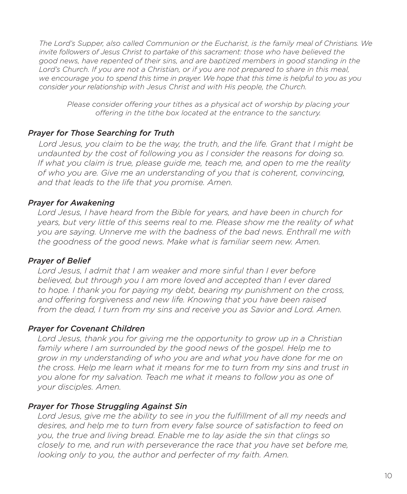*The Lord's Supper, also called Communion or the Eucharist, is the family meal of Christians. We invite followers of Jesus Christ to partake of this sacrament: those who have believed the good news, have repented of their sins, and are baptized members in good standing in the*  Lord's Church. If you are not a Christian, or if you are not prepared to share in this meal, *we encourage you to spend this time in prayer. We hope that this time is helpful to you as you consider your relationship with Jesus Christ and with His people, the Church.*

*Please consider offering your tithes as a physical act of worship by placing your offering in the tithe box located at the entrance to the sanctury.*

## *Prayer for Those Searching for Truth*

 *Lord Jesus, you claim to be the way, the truth, and the life. Grant that I might be undaunted by the cost of following you as I consider the reasons for doing so. If what you claim is true, please guide me, teach me, and open to me the reality of who you are. Give me an understanding of you that is coherent, convincing, and that leads to the life that you promise. Amen.*

## *Prayer for Awakening*

 *Lord Jesus, I have heard from the Bible for years, and have been in church for years, but very little of this seems real to me. Please show me the reality of what you are saying. Unnerve me with the badness of the bad news. Enthrall me with the goodness of the good news. Make what is familiar seem new. Amen.*

## *Prayer of Belief*

 *Lord Jesus, I admit that I am weaker and more sinful than I ever before believed, but through you I am more loved and accepted than I ever dared to hope. I thank you for paying my debt, bearing my punishment on the cross, and offering forgiveness and new life. Knowing that you have been raised from the dead, I turn from my sins and receive you as Savior and Lord. Amen.*

## *Prayer for Covenant Children*

 *Lord Jesus, thank you for giving me the opportunity to grow up in a Christian family where I am surrounded by the good news of the gospel. Help me to grow in my understanding of who you are and what you have done for me on the cross. Help me learn what it means for me to turn from my sins and trust in you alone for my salvation. Teach me what it means to follow you as one of your disciples. Amen.*

## *Prayer for Those Struggling Against Sin*

 *Lord Jesus, give me the ability to see in you the fulfillment of all my needs and desires, and help me to turn from every false source of satisfaction to feed on you, the true and living bread. Enable me to lay aside the sin that clings so closely to me, and run with perseverance the race that you have set before me, looking only to you, the author and perfecter of my faith. Amen.*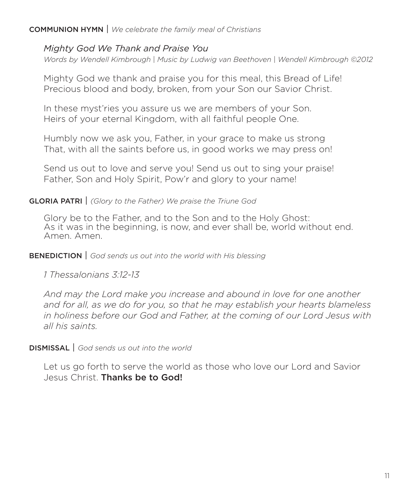## COMMUNION HYMN | *We celebrate the family meal of Christians*

# *Mighty God We Thank and Praise You*

*Words by Wendell Kimbrough* | *Music by Ludwig van Beethoven* | *Wendell Kimbrough ©2012* 

Mighty God we thank and praise you for this meal, this Bread of Life! Precious blood and body, broken, from your Son our Savior Christ.

In these myst'ries you assure us we are members of your Son. Heirs of your eternal Kingdom, with all faithful people One.

Humbly now we ask you, Father, in your grace to make us strong That, with all the saints before us, in good works we may press on!

Send us out to love and serve you! Send us out to sing your praise! Father, Son and Holy Spirit, Pow'r and glory to your name!

## GLORIA PATRI | *(Glory to the Father) We praise the Triune God*

Glory be to the Father, and to the Son and to the Holy Ghost: As it was in the beginning, is now, and ever shall be, world without end. Amen. Amen.

## BENEDICTION | *God sends us out into the world with His blessing*

*1 Thessalonians 3:12-13* 

*And may the Lord make you increase and abound in love for one another and for all, as we do for you, so that he may establish your hearts blameless in holiness before our God and Father, at the coming of our Lord Jesus with all his saints.*

DISMISSAL | *God sends us out into the world*

Let us go forth to serve the world as those who love our Lord and Savior Jesus Christ. Thanks be to God!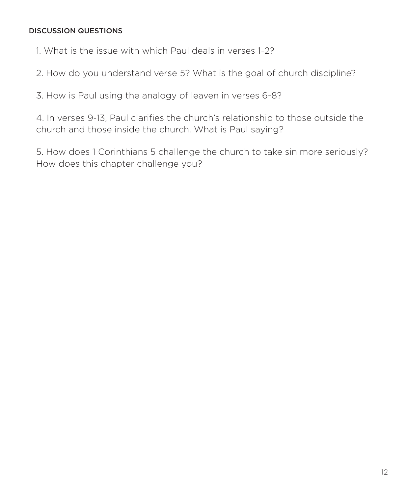## DISCUSSION QUESTIONS

1. What is the issue with which Paul deals in verses 1-2?

2. How do you understand verse 5? What is the goal of church discipline?

3. How is Paul using the analogy of leaven in verses 6-8?

4. In verses 9-13, Paul clarifies the church's relationship to those outside the church and those inside the church. What is Paul saying?

5. How does 1 Corinthians 5 challenge the church to take sin more seriously? How does this chapter challenge you?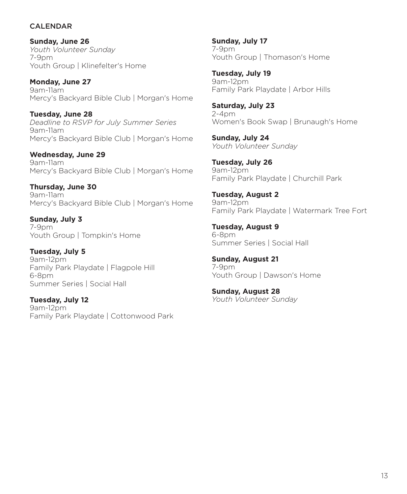### CALENDAR

**Sunday, June 26** *Youth Volunteer Sunday* 7-9pm Youth Group | Klinefelter's Home

**Monday, June 27** 9am-11am Mercy's Backyard Bible Club | Morgan's Home

**Tuesday, June 28** *Deadline to RSVP for July Summer Series* 9am-11am Mercy's Backyard Bible Club | Morgan's Home

**Wednesday, June 29** 9am-11am Mercy's Backyard Bible Club | Morgan's Home

**Thursday, June 30** 9am-11am Mercy's Backyard Bible Club | Morgan's Home

**Sunday, July 3** 7-9pm Youth Group | Tompkin's Home

**Tuesday, July 5** 9am-12pm Family Park Playdate | Flagpole Hill 6-8pm Summer Series | Social Hall

**Tuesday, July 12** 9am-12pm Family Park Playdate | Cottonwood Park **Sunday, July 17** 7-9pm Youth Group | Thomason's Home

**Tuesday, July 19** 9am-12pm Family Park Playdate | Arbor Hills

**Saturday, July 23** 2-4pm Women's Book Swap | Brunaugh's Home

**Sunday, July 24** *Youth Volunteer Sunday* 

**Tuesday, July 26** 9am-12pm Family Park Playdate | Churchill Park

**Tuesday, August 2** 9am-12pm Family Park Playdate | Watermark Tree Fort

**Tuesday, August 9** 6-8pm Summer Series | Social Hall

**Sunday, August 21** 7-9pm Youth Group | Dawson's Home

**Sunday, August 28** *Youth Volunteer Sunday*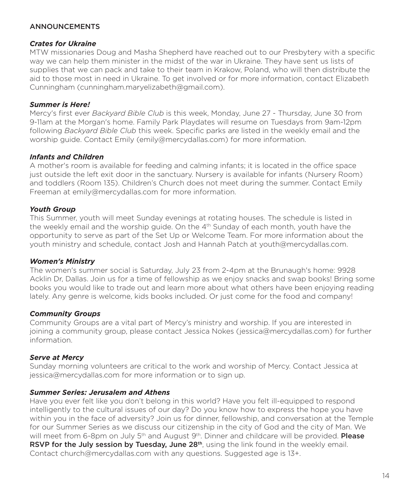### **ANNOUNCEMENTS**

#### *Crates for Ukraine*

MTW missionaries Doug and Masha Shepherd have reached out to our Presbytery with a specific way we can help them minister in the midst of the war in Ukraine. They have sent us lists of supplies that we can pack and take to their team in Krakow, Poland, who will then distribute the aid to those most in need in Ukraine. To get involved or for more information, contact Elizabeth Cunningham (cunningham.maryelizabeth@gmail.com).

### *Summer is Here!*

Mercy's first ever *Backyard Bible Club* is this week, Monday, June 27 - Thursday, June 30 from 9-11am at the Morgan's home. Family Park Playdates will resume on Tuesdays from 9am-12pm following *Backyard Bible Club* this week. Specific parks are listed in the weekly email and the worship guide. Contact Emily (emily@mercydallas.com) for more information.

### *Infants and Children*

A mother's room is available for feeding and calming infants; it is located in the office space just outside the left exit door in the sanctuary. Nursery is available for infants (Nursery Room) and toddlers (Room 135). Children's Church does not meet during the summer. Contact Emily Freeman at emily@mercydallas.com for more information.

### *Youth Group*

This Summer, youth will meet Sunday evenings at rotating houses. The schedule is listed in the weekly email and the worship guide. On the  $4<sup>th</sup>$  Sunday of each month, youth have the opportunity to serve as part of the Set Up or Welcome Team. For more information about the youth ministry and schedule, contact Josh and Hannah Patch at youth@mercydallas.com.

#### *Women's Ministry*

The women's summer social is Saturday, July 23 from 2-4pm at the Brunaugh's home: 9928 Acklin Dr, Dallas. Join us for a time of fellowship as we enjoy snacks and swap books! Bring some books you would like to trade out and learn more about what others have been enjoying reading lately. Any genre is welcome, kids books included. Or just come for the food and company!

#### *Community Groups*

Community Groups are a vital part of Mercy's ministry and worship. If you are interested in joining a community group, please contact Jessica Nokes (jessica@mercydallas.com) for further information.

### *Serve at Mercy*

Sunday morning volunteers are critical to the work and worship of Mercy. Contact Jessica at jessica@mercydallas.com for more information or to sign up.

#### *Summer Series: Jerusalem and Athens*

Have you ever felt like you don't belong in this world? Have you felt ill-equipped to respond intelligently to the cultural issues of our day? Do you know how to express the hope you have within you in the face of adversity? Join us for dinner, fellowship, and conversation at the Temple for our Summer Series as we discuss our citizenship in the city of God and the city of Man. We will meet from 6-8pm on July 5<sup>th</sup> and August 9<sup>th</sup>. Dinner and childcare will be provided. **Please** RSVP for the July session by Tuesday, June 28<sup>th</sup>, using the link found in the weekly email. Contact church@mercydallas.com with any questions. Suggested age is 13+.